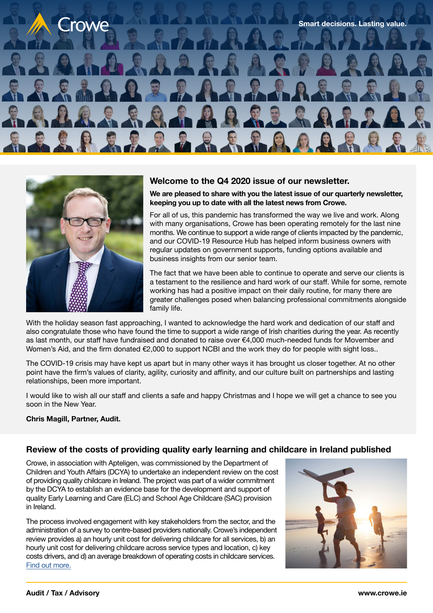



#### **Welcome to the Q4 2020 issue of our newsletter.**

**We are pleased to share with you the latest issue of our quarterly newsletter, keeping you up to date with all the latest news from Crowe.**

For all of us, this pandemic has transformed the way we live and work. Along with many organisations, Crowe has been operating remotely for the last nine months. We continue to support a wide range of clients impacted by the pandemic, and our COVID-19 Resource Hub has helped inform business owners with regular updates on government supports, funding options available and business insights from our senior team.

The fact that we have been able to continue to operate and serve our clients is a testament to the resilience and hard work of our staff. While for some, remote working has had a positive impact on their daily routine, for many there are greater challenges posed when balancing professional commitments alongside family life.

With the holiday season fast approaching, I wanted to acknowledge the hard work and dedication of our staff and also congratulate those who have found the time to support a wide range of Irish charities during the year. As recently as last month, our staff have fundraised and donated to raise over €4,000 much-needed funds for Movember and Women's Aid, and the firm donated €2,000 to support NCBI and the work they do for people with sight loss..

The COVID-19 crisis may have kept us apart but in many other ways it has brought us closer together. At no other point have the firm's values of clarity, agility, curiosity and affinity, and our culture built on partnerships and lasting relationships, been more important.

I would like to wish all our staff and clients a safe and happy Christmas and I hope we will get a chance to see you soon in the New Year.

#### **Chris Magill, Partner, Audit.**

### **Review of the costs of providing quality early learning and childcare in Ireland published**

Crowe, in association with Apteligen, was commissioned by the Department of Children and Youth Affairs (DCYA) to undertake an independent review on the cost of providing quality childcare in Ireland. The project was part of a wider commitment by the DCYA to establish an evidence base for the development and support of quality Early Learning and Care (ELC) and School Age Childcare (SAC) provision in Ireland.

The process involved engagement with key stakeholders from the sector, and the administration of a survey to centre-based providers nationally. Crowe's independent review provides a) an hourly unit cost for delivering childcare for all services, b) an hourly unit cost for delivering childcare across service types and location, c) key costs drivers, and d) an average breakdown of operating costs in childcare services. [Find out more.](https://www.crowe.com/ie/news/review-of-the-costs-of-providing-quality-early-learning-and-childcare-in-ireland-published)

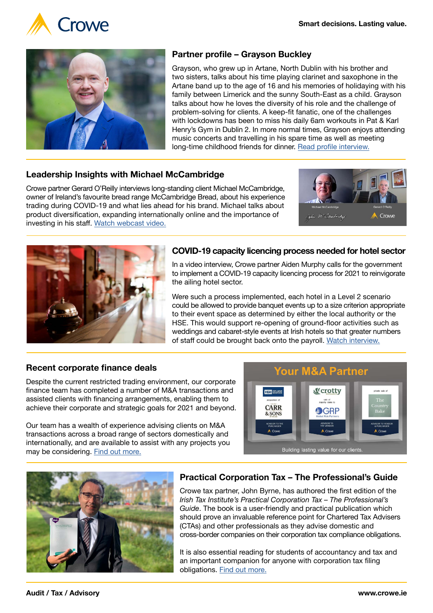



# **Partner profile – Grayson Buckley**

Grayson, who grew up in Artane, North Dublin with his brother and two sisters, talks about his time playing clarinet and saxophone in the Artane band up to the age of 16 and his memories of holidaying with his family between Limerick and the sunny South-East as a child. Grayson talks about how he loves the diversity of his role and the challenge of problem-solving for clients. A keep-fit fanatic, one of the challenges with lockdowns has been to miss his daily 6am workouts in Pat & Karl Henry's Gym in Dublin 2. In more normal times, Grayson enjoys attending music concerts and travelling in his spare time as well as meeting long-time childhood friends for dinner. [Read profile interview.](https://www.crowe.com/ie/insights/partner-profile-grayson-buckley)

## **Leadership Insights with Michael McCambridge**

Crowe partner Gerard O'Reilly interviews long-standing client Michael McCambridge, owner of Ireland's favourite bread range McCambridge Bread, about his experience trading during COVID-19 and what lies ahead for his brand. Michael talks about product diversification, expanding internationally online and the importance of investing in his staff. [Watch webcast video.](https://youtu.be/ujdz4bWWAR0)





## **COVID-19 capacity licencing process needed for hotel sector**

In a video interview, Crowe partner Aiden Murphy calls for the government to implement a COVID-19 capacity licencing process for 2021 to reinvigorate the ailing hotel sector.

Were such a process implemented, each hotel in a Level 2 scenario could be allowed to provide banquet events up to a size criterion appropriate to their event space as determined by either the local authority or the HSE. This would support re-opening of ground-floor activities such as weddings and cabaret-style events at Irish hotels so that greater numbers of staff could be brought back onto the payroll. [Watch interview.](https://www.crowe.com/ie/insights/covid-19-capacity-licencing-process-needed-for-hotel-sector)

## **Recent corporate finance deals**

Despite the current restricted trading environment, our corporate finance team has completed a number of M&A transactions and assisted clients with financing arrangements, enabling them to achieve their corporate and strategic goals for 2021 and beyond.

Our team has a wealth of experience advising clients on M&A transactions across a broad range of sectors domestically and internationally, and are available to assist with any projects you may be considering. [Find out more.](https://www.crowe.com/ie/services/advisory/corporate-finance)





## **Practical Corporation Tax – The Professional's Guide**

Crowe tax partner, John Byrne, has authored the first edition of the *Irish Tax Institute's Practical Corporation Tax – The Professional's Guide*. The book is a user-friendly and practical publication which should prove an invaluable reference point for Chartered Tax Advisers (CTAs) and other professionals as they advise domestic and cross-border companies on their corporation tax compliance obligations.

It is also essential reading for students of accountancy and tax and an important companion for anyone with corporation tax filing obligations. [Find out more.](https://www.crowe.com/ie/news/practical-corporation-tax-the-professionals-guide)